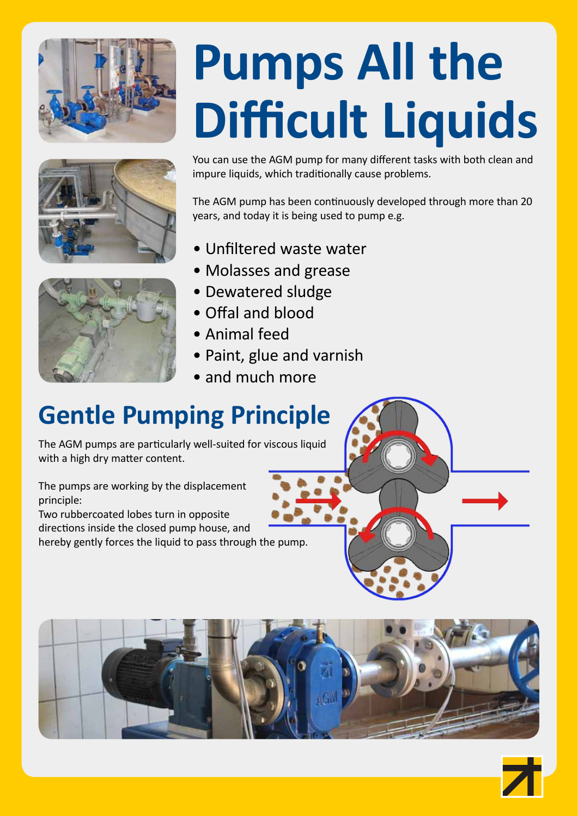





## **Pumps All the Difficult Liquids**

You can use the AGM pump for many different tasks with both clean and impure liquids, which traditionally cause problems.

The AGM pump has been continuously developed through more than 20 years, and today it is being used to pump e.g.

- Unfiltered waste water
- Molasses and grease
- Dewatered sludge
- Offal and blood
- Animal feed
- Paint, glue and varnish
- and much more

## **Gentle Pumping Principle**

The AGM pumps are particularly well-suited for viscous liquid with a high dry matter content.

The pumps are working by the displacement principle:

Two rubbercoated lobes turn in opposite directions inside the closed pump house, and hereby gently forces the liquid to pass through the pump.





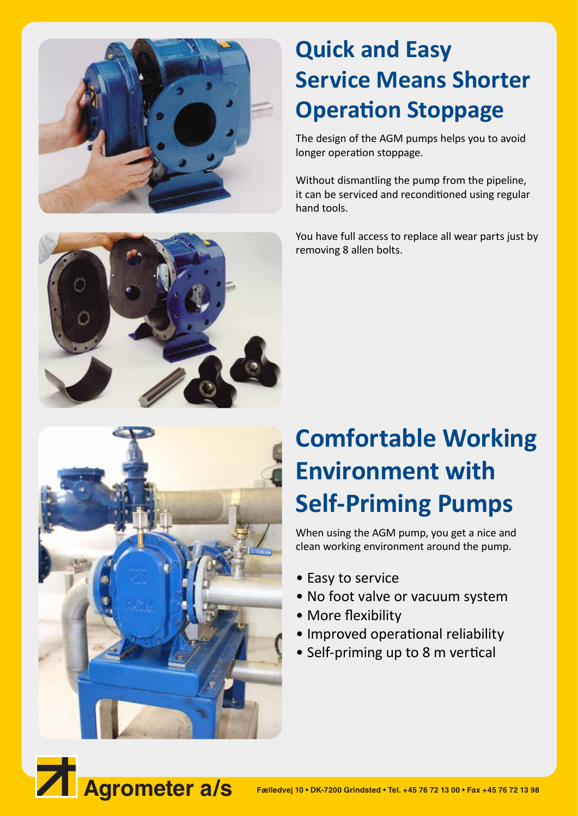

## **Quick and Easy Service Means Shorter Operation Stoppage**

The design of the AGM pumps helps you to avoid longer operation stoppage.

Without dismantling the pump from the pipeline, it can be serviced and reconditioned using regular hand tools.

You have full access to replace all wear parts just by removing 8 allen bolts.





## **Comfortable Working Environment with Self-Priming Pumps**

When using the AGM pump, you get a nice and clean working environment around the pump.

- Easy to service
- No foot valve or vacuum system
- More flexibility
- Improved operational reliability
- Self-priming up to 8 m vertical

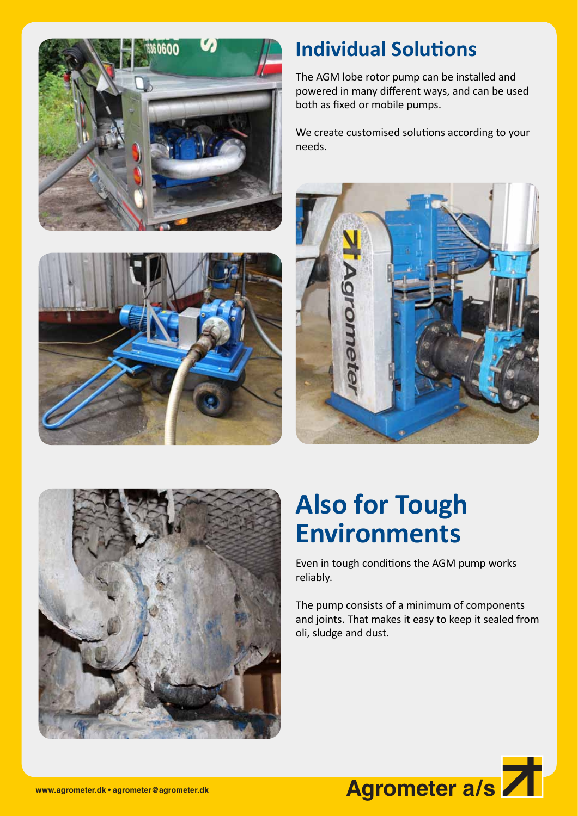



## **Individual Solutions**

The AGM lobe rotor pump can be installed and powered in many different ways, and can be used both as fixed or mobile pumps.

We create customised solutions according to your needs.





## **Also for Tough Environments**

Even in tough conditions the AGM pump works reliably.

The pump consists of a minimum of components and joints. That makes it easy to keep it sealed from oli, sludge and dust.

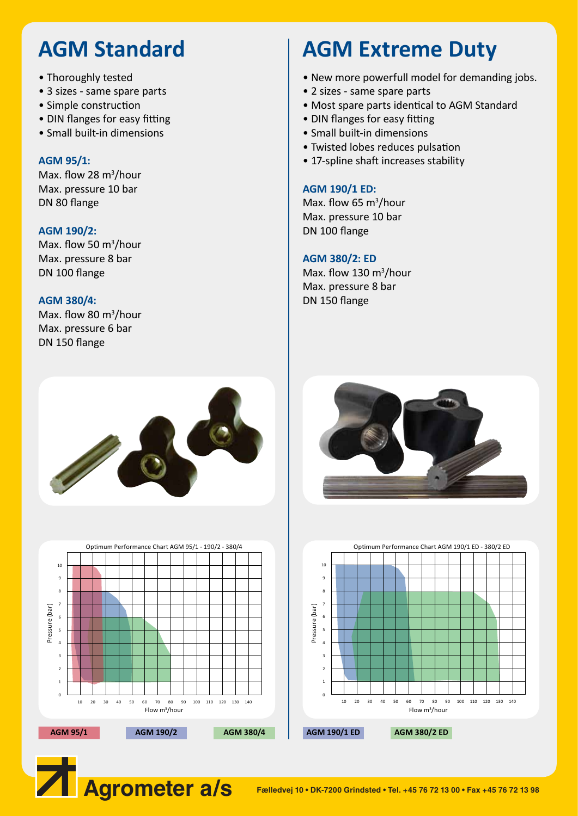## **AGM Standard**

- Thoroughly tested
- 3 sizes same spare parts
- Simple construction
- DIN flanges for easy fitting
- Small built-in dimensions

#### **AGM 95/1:**

Max. flow 28 m<sup>3</sup>/hour Max. pressure 10 bar DN 80 flange

#### **AGM 190/2:**

Max. flow 50  $\text{m}^3\text{/hour}$ Max. pressure 8 bar DN 100 flange

#### **AGM 380/4:**

Max. flow 80 m<sup>3</sup>/hour Max. pressure 6 bar DN 150 flange

## **AGM Extreme Duty**

- New more powerfull model for demanding jobs.
- 2 sizes same spare parts
- Most spare parts identical to AGM Standard
- DIN flanges for easy fitting
- Small built-in dimensions
- Twisted lobes reduces pulsation
- 17-spline shaft increases stability

#### **AGM 190/1 ED:**

Max. flow 65  $m^3/h$ our Max. pressure 10 bar DN 100 flange

#### **AGM 380/2: ED**

Max. flow 130  $m^3/h$ our Max. pressure 8 bar DN 150 flange







10 9 8 7 Pressure (bar) Pressure (bar) 6 5 4 3 2 1 0 10 20 30 40 50 60 70 80 90 100 110 120 130 140 Flow m3 /hour **AGM 95/1 AGM 190/2 AGM 380/4 AGM 190/1 ED AGM 380/2 ED**

**Agrometer a/s Fælledvej 10 • DK-7200 Grindsted • Tel. +45 76 72 13 00 • Fax +45 76 72 13 98**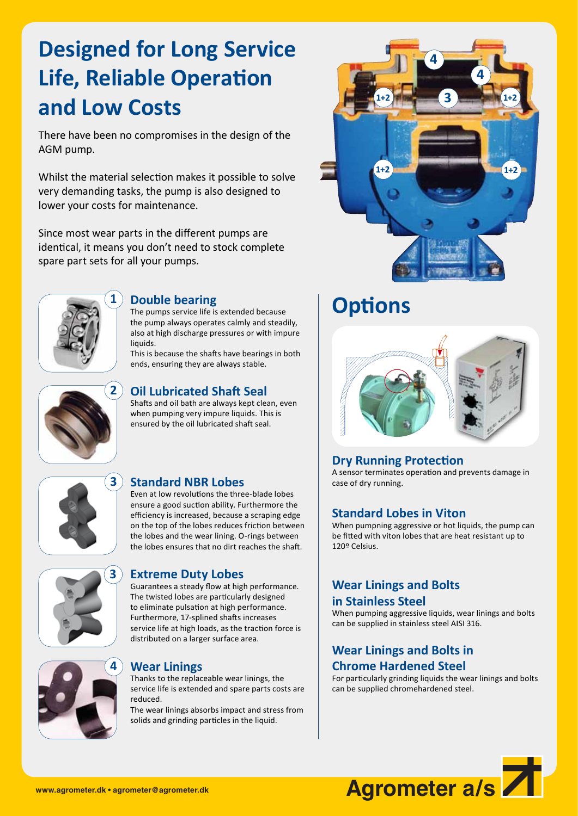## **Designed for Long Service Life, Reliable Operation and Low Costs**

There have been no compromises in the design of the AGM pump.

Whilst the material selection makes it possible to solve very demanding tasks, the pump is also designed to lower your costs for maintenance.

Since most wear parts in the different pumps are identical, it means you don't need to stock complete spare part sets for all your pumps.



#### **Double bearing**

The pumps service life is extended because the pump always operates calmly and steadily, also at high discharge pressures or with impure liquids.

This is because the shafts have bearings in both ends, ensuring they are always stable.



#### **Oil Lubricated Shaft Seal**

Shafts and oil bath are always kept clean, even when pumping very impure liquids. This is ensured by the oil lubricated shaft seal.



#### **Standard NBR Lobes**

Even at low revolutions the three-blade lobes ensure a good suction ability. Furthermore the efficiency is increased, because a scraping edge on the top of the lobes reduces friction between the lobes and the wear lining. O-rings between the lobes ensures that no dirt reaches the shaft.



#### **Extreme Duty Lobes**

Guarantees a steady flow at high performance. The twisted lobes are particularly designed to eliminate pulsation at high performance. Furthermore, 17-splined shafts increases service life at high loads, as the traction force is distributed on a larger surface area.



#### **Wear Linings**

Thanks to the replaceable wear linings, the service life is extended and spare parts costs are reduced. The wear linings absorbs impact and stress from

solids and grinding particles in the liquid.



## **Options**



#### **Dry Running Protection**

A sensor terminates operation and prevents damage in case of dry running.

#### **Standard Lobes in Viton**

When pumpning aggressive or hot liquids, the pump can be fitted with viton lobes that are heat resistant up to 120º Celsius.

#### **Wear Linings and Bolts in Stainless Steel**

When pumping aggressive liquids, wear linings and bolts can be supplied in stainless steel AISI 316.

#### **Wear Linings and Bolts in Chrome Hardened Steel**

For particularly grinding liquids the wear linings and bolts can be supplied chromehardened steel.